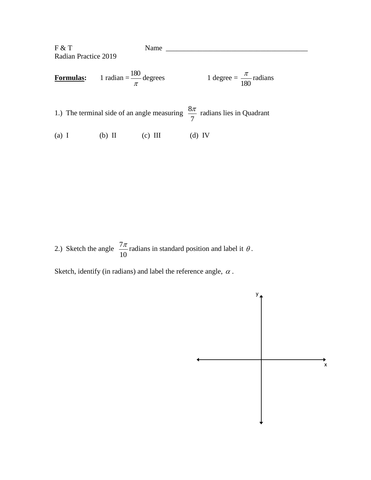F & T Name \_\_\_\_\_\_\_\_\_\_\_\_\_\_\_\_\_\_\_\_\_\_\_\_\_\_\_\_\_\_\_\_\_\_\_\_\_\_\_ Radian Practice 2019 **Formulas:** π  $\frac{180}{2}$  degrees 1 degree = 180  $\frac{\pi}{2}$  radians  $\frac{8\pi}{2}$  radians lies in Quadrant

7

(a) I (b) II (c) III (d) IV

1.) The terminal side of an angle measuring

2.) Sketch the angle  $\frac{7}{1}$ 10  $\frac{\pi}{\sigma}$  radians in standard position and label it  $\theta$ .

Sketch, identify (in radians) and label the reference angle,  $\alpha$ .

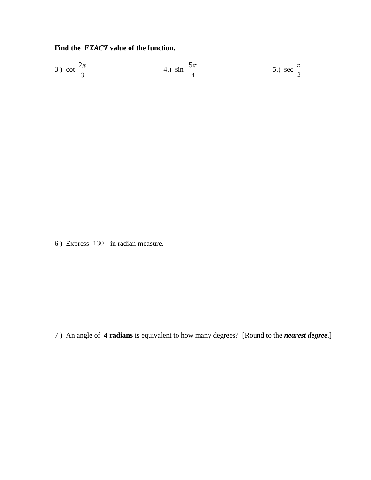Find the EXACT value of the function.

3.) cot 
$$
\frac{2\pi}{3}
$$
 4.) sin  $\frac{5\pi}{4}$  5.) sec  $\frac{\pi}{2}$ 

6.) Express 130° in radian measure.

7.) An angle of 4 radians is equivalent to how many degrees? [Round to the *nearest degree*.]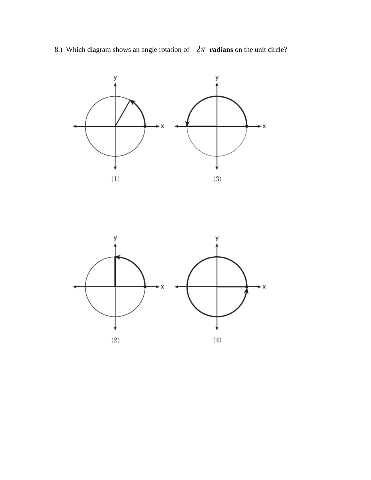